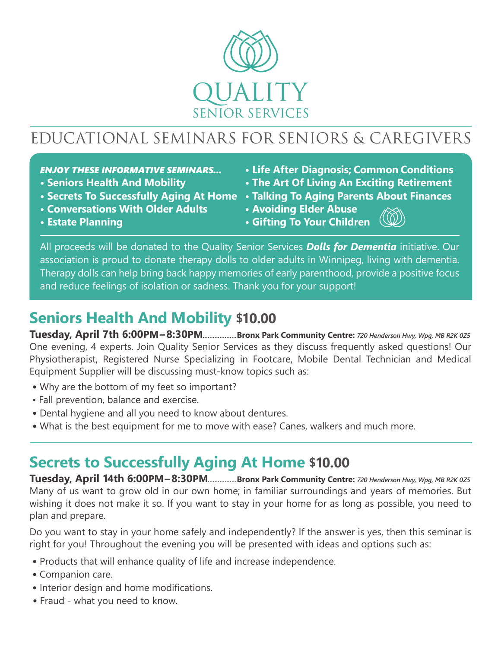

# EDUCATIONAL SEMINARS FOR SENIORS & CAREGIVERS

#### *ENJOY THESE INFORMATIVE SEMINARS...*

- **Seniors Health And Mobility**
- **Secrets To Successfully Aging At Home**
- **Conversations With Older Adults**
- **Life After Diagnosis; Common Conditions**
- **The Art Of Living An Exciting Retirement**
- **Talking To Aging Parents About Finances**
- **Avoiding Elder Abuse**

**• Estate Planning**

**• Gifting To Your Children**

All proceeds will be donated to the Quality Senior Services *Dolls for Dementia* initiative. Our association is proud to donate therapy dolls to older adults in Winnipeg, living with dementia. Therapy dolls can help bring back happy memories of early parenthood, provide a positive focus and reduce feelings of isolation or sadness. Thank you for your support!

### **Seniors Health And Mobility \$10.00**

**Tuesday, April 7th 6:00PM–8:30PM***....................***Bronx Park Community Centre:** *720 Henderson Hwy, Wpg, MB R2K 0Z5* One evening, 4 experts. Join Quality Senior Services as they discuss frequently asked questions! Our Physiotherapist, Registered Nurse Specializing in Footcare, Mobile Dental Technician and Medical Equipment Supplier will be discussing must-know topics such as:

- **•** Why are the bottom of my feet so important?
- Fall prevention, balance and exercise.
- **•** Dental hygiene and all you need to know about dentures.
- **•** What is the best equipment for me to move with ease? Canes, walkers and much more.

### **Secrets to Successfully Aging At Home \$10.00**

**Tuesday, April 14th 6:00PM–8:30PM***.................***Bronx Park Community Centre:** *720 Henderson Hwy, Wpg, MB R2K 0Z5* Many of us want to grow old in our own home; in familiar surroundings and years of memories. But wishing it does not make it so. If you want to stay in your home for as long as possible, you need to plan and prepare.

Do you want to stay in your home safely and independently? If the answer is yes, then this seminar is right for you! Throughout the evening you will be presented with ideas and options such as:

- **•** Products that will enhance quality of life and increase independence.
- **•** Companion care.
- Interior design and home modifications.
- **•** Fraud what you need to know.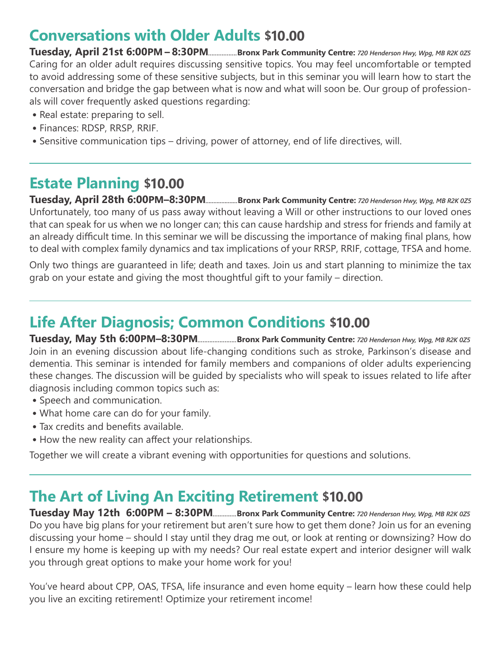#### **Conversations with Older Adults \$10.00**

**Tuesday, April 21st 6:00PM – 8:30PM***.................***Bronx Park Community Centre:** *720 Henderson Hwy, Wpg, MB R2K 0Z5* Caring for an older adult requires discussing sensitive topics. You may feel uncomfortable or tempted to avoid addressing some of these sensitive subjects, but in this seminar you will learn how to start the conversation and bridge the gap between what is now and what will soon be. Our group of professionals will cover frequently asked questions regarding:

- **•** Real estate: preparing to sell.
- **•** Finances: RDSP, RRSP, RRIF.
- **•** Sensitive communication tips driving, power of attorney, end of life directives, will.

## **Estate Planning \$10.00**

**Tuesday, April 28th 6:00PM–8:30PM***....................***Bronx Park Community Centre:** *720 Henderson Hwy, Wpg, MB R2K 0Z5* Unfortunately, too many of us pass away without leaving a Will or other instructions to our loved ones that can speak for us when we no longer can; this can cause hardship and stress for friends and family at an already difficult time. In this seminar we will be discussing the importance of making final plans, how to deal with complex family dynamics and tax implications of your RRSP, RRIF, cottage, TFSA and home.

Only two things are guaranteed in life; death and taxes. Join us and start planning to minimize the tax grab on your estate and giving the most thoughtful gift to your family – direction.

#### **Life After Diagnosis; Common Conditions \$10.00**

**Tuesday, May 5th 6:00PM–8:30PM***.......................***Bronx Park Community Centre:** *720 Henderson Hwy, Wpg, MB R2K 0Z5* Join in an evening discussion about life-changing conditions such as stroke, Parkinson's disease and dementia. This seminar is intended for family members and companions of older adults experiencing these changes. The discussion will be guided by specialists who will speak to issues related to life after diagnosis including common topics such as:

- **•** Speech and communication.
- **•** What home care can do for your family.
- Tax credits and benefits available.
- How the new reality can affect your relationships.

Together we will create a vibrant evening with opportunities for questions and solutions.

### **The Art of Living An Exciting Retirement \$10.00**

**Tuesday May 12th 6:00PM – 8:30PM***..............***Bronx Park Community Centre:** *720 Henderson Hwy, Wpg, MB R2K 0Z5* Do you have big plans for your retirement but aren't sure how to get them done? Join us for an evening discussing your home – should I stay until they drag me out, or look at renting or downsizing? How do I ensure my home is keeping up with my needs? Our real estate expert and interior designer will walk you through great options to make your home work for you!

You've heard about CPP, OAS, TFSA, life insurance and even home equity – learn how these could help you live an exciting retirement! Optimize your retirement income!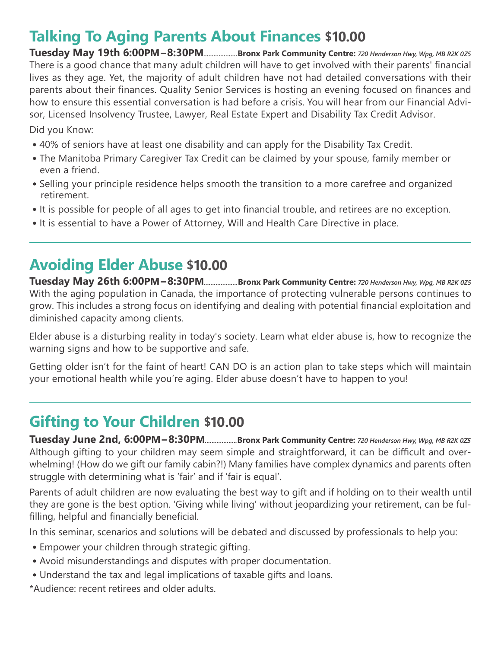### **Talking To Aging Parents About Finances \$10.00**

**Tuesday May 19th 6:00PM–8:30PM***....................***Bronx Park Community Centre:** *720 Henderson Hwy, Wpg, MB R2K 0Z5* There is a good chance that many adult children will have to get involved with their parents' financial lives as they age. Yet, the majority of adult children have not had detailed conversations with their parents about their finances. Quality Senior Services is hosting an evening focused on finances and how to ensure this essential conversation is had before a crisis. You will hear from our Financial Advisor, Licensed Insolvency Trustee, Lawyer, Real Estate Expert and Disability Tax Credit Advisor.

Did you Know:

- **•** 40% of seniors have at least one disability and can apply for the Disability Tax Credit.
- **•** The Manitoba Primary Caregiver Tax Credit can be claimed by your spouse, family member or even a friend.
- **•** Selling your principle residence helps smooth the transition to a more carefree and organized retirement.
- It is possible for people of all ages to get into financial trouble, and retirees are no exception.
- **•** It is essential to have a Power of Attorney, Will and Health Care Directive in place.

#### **Avoiding Elder Abuse \$10.00**

**Tuesday May 26th 6:00PM–8:30PM***....................***Bronx Park Community Centre:** *720 Henderson Hwy, Wpg, MB R2K 0Z5* With the aging population in Canada, the importance of protecting vulnerable persons continues to grow. This includes a strong focus on identifying and dealing with potential financial exploitation and diminished capacity among clients.

Elder abuse is a disturbing reality in today's society. Learn what elder abuse is, how to recognize the warning signs and how to be supportive and safe.

Getting older isn't for the faint of heart! CAN DO is an action plan to take steps which will maintain your emotional health while you're aging. Elder abuse doesn't have to happen to you!

### **Gifting to Your Children \$10.00**

**Tuesday June 2nd, 6:00PM–8:30PM***...................***Bronx Park Community Centre:** *720 Henderson Hwy, Wpg, MB R2K 0Z5* Although gifting to your children may seem simple and straightforward, it can be difficult and overwhelming! (How do we gift our family cabin?!) Many families have complex dynamics and parents often struggle with determining what is 'fair' and if 'fair is equal'.

Parents of adult children are now evaluating the best way to gift and if holding on to their wealth until they are gone is the best option. 'Giving while living' without jeopardizing your retirement, can be fulfilling, helpful and financially beneficial.

In this seminar, scenarios and solutions will be debated and discussed by professionals to help you:

- **•** Empower your children through strategic gifting.
- **•** Avoid misunderstandings and disputes with proper documentation.
- **•** Understand the tax and legal implications of taxable gifts and loans.

\*Audience: recent retirees and older adults.